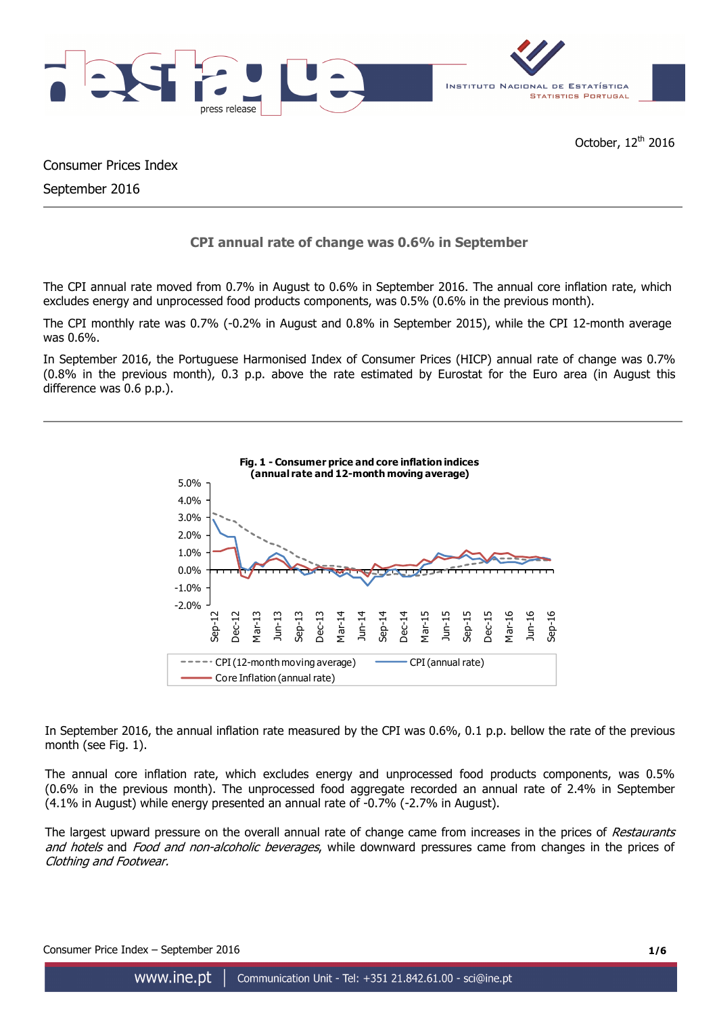

Consumer Prices Index

September 2016

# **CPI annual rate of change was 0.6% in September**

The CPI annual rate moved from 0.7% in August to 0.6% in September 2016. The annual core inflation rate, which excludes energy and unprocessed food products components, was 0.5% (0.6% in the previous month).

The CPI monthly rate was 0.7% (-0.2% in August and 0.8% in September 2015), while the CPI 12-month average was 0.6%.

In September 2016, the Portuguese Harmonised Index of Consumer Prices (HICP) annual rate of change was 0.7% (0.8% in the previous month), 0.3 p.p. above the rate estimated by Eurostat for the Euro area (in August this difference was 0.6 p.p.).



In September 2016, the annual inflation rate measured by the CPI was 0.6%, 0.1 p.p. bellow the rate of the previous month (see Fig. 1).

The annual core inflation rate, which excludes energy and unprocessed food products components, was 0.5% (0.6% in the previous month). The unprocessed food aggregate recorded an annual rate of 2.4% in September (4.1% in August) while energy presented an annual rate of -0.7% (-2.7% in August).

The largest upward pressure on the overall annual rate of change came from increases in the prices of Restaurants and hotels and Food and non-alcoholic beverages, while downward pressures came from changes in the prices of Clothing and Footwear.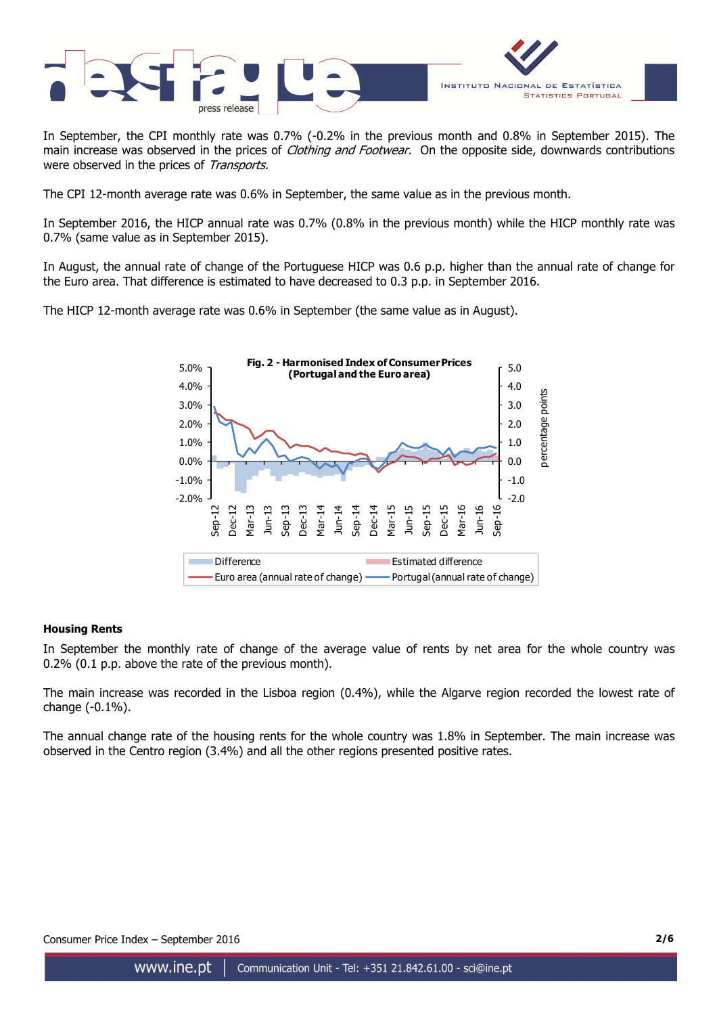

In September, the CPI monthly rate was 0.7% (-0.2% in the previous month and 0.8% in September 2015). The main increase was observed in the prices of *Clothing and Footwear*. On the opposite side, downwards contributions were observed in the prices of Transports.

The CPI 12-month average rate was 0.6% in September, the same value as in the previous month.

In September 2016, the HICP annual rate was 0.7% (0.8% in the previous month) while the HICP monthly rate was 0.7% (same value as in September 2015).

In August, the annual rate of change of the Portuguese HICP was 0.6 p.p. higher than the annual rate of change for the Euro area. That difference is estimated to have decreased to 0.3 p.p. in September 2016.

The HICP 12-month average rate was 0.6% in September (the same value as in August).



### **Housing Rents**

In September the monthly rate of change of the average value of rents by net area for the whole country was 0.2% (0.1 p.p. above the rate of the previous month).

The main increase was recorded in the Lisboa region (0.4%), while the Algarve region recorded the lowest rate of change (-0.1%).

The annual change rate of the housing rents for the whole country was 1.8% in September. The main increase was observed in the Centro region (3.4%) and all the other regions presented positive rates.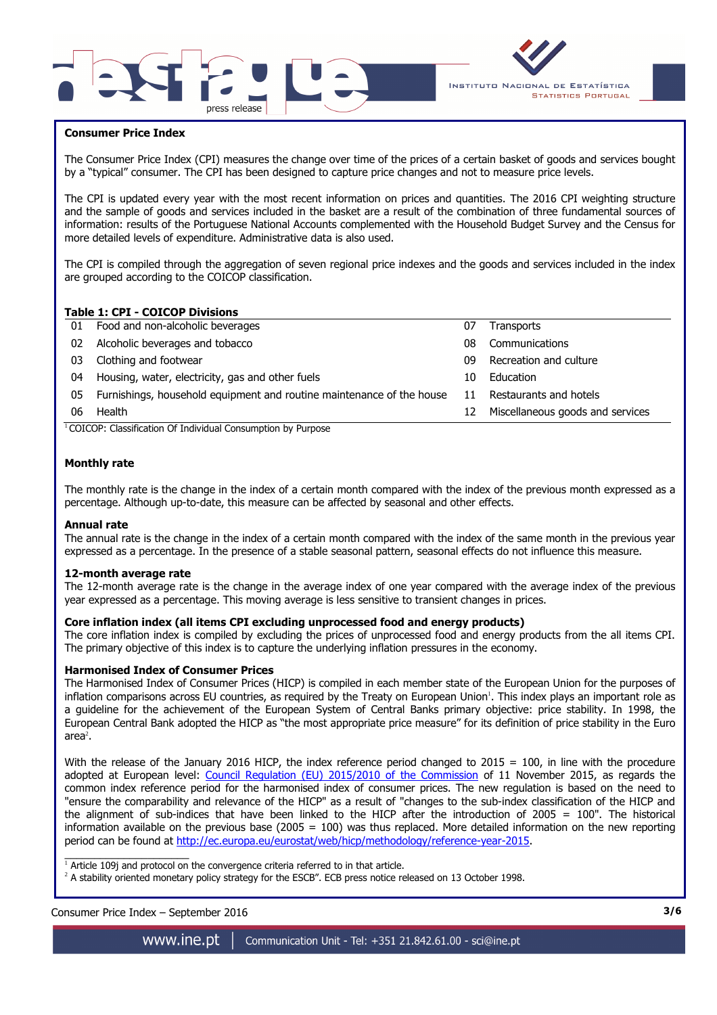



### **Consumer Price Index**

I

The Consumer Price Index (CPI) measures the change over time of the prices of a certain basket of goods and services bought by a "typical" consumer. The CPI has been designed to capture price changes and not to measure price levels.

The CPI is updated every year with the most recent information on prices and quantities. The 2016 CPI weighting structure and the sample of goods and services included in the basket are a result of the combination of three fundamental sources of information: results of the Portuguese National Accounts complemented with the Household Budget Survey and the Census for more detailed levels of expenditure. Administrative data is also used.

The CPI is compiled through the aggregation of seven regional price indexes and the goods and services included in the index are grouped according to the COICOP classification.

### **Table 1: CPI - COICOP Divisions**

| Food and non-alcoholic beverages                                      | 07 | <b>Transports</b>                |
|-----------------------------------------------------------------------|----|----------------------------------|
| Alcoholic beverages and tobacco                                       | 08 | Communications                   |
| Clothing and footwear                                                 | 09 | Recreation and culture           |
| Housing, water, electricity, gas and other fuels                      | 10 | Education                        |
| Furnishings, household equipment and routine maintenance of the house | 11 | Restaurants and hotels           |
| Health                                                                | 12 | Miscellaneous goods and services |
|                                                                       |    |                                  |

<sup>1</sup>COICOP: Classification Of Individual Consumption by Purpose

#### **Monthly rate**

The monthly rate is the change in the index of a certain month compared with the index of the previous month expressed as a percentage. Although up-to-date, this measure can be affected by seasonal and other effects.

#### **Annual rate**

The annual rate is the change in the index of a certain month compared with the index of the same month in the previous year expressed as a percentage. In the presence of a stable seasonal pattern, seasonal effects do not influence this measure.

#### **12-month average rate**

The 12-month average rate is the change in the average index of one year compared with the average index of the previous year expressed as a percentage. This moving average is less sensitive to transient changes in prices.

#### **Core inflation index (all items CPI excluding unprocessed food and energy products)**

The core inflation index is compiled by excluding the prices of unprocessed food and energy products from the all items CPI. The primary objective of this index is to capture the underlying inflation pressures in the economy.

#### **Harmonised Index of Consumer Prices**

The Harmonised Index of Consumer Prices (HICP) is compiled in each member state of the European Union for the purposes of inflation comparisons across EU countries, as required by the Treaty on European Union<sup>1</sup>. This index plays an important role as a guideline for the achievement of the European System of Central Banks primary objective: price stability. In 1998, the European Central Bank adopted the HICP as "the most appropriate price measure" for its definition of price stability in the Euro area $^2$ .

With the release of the January 2016 HICP, the index reference period changed to  $2015 = 100$ , in line with the procedure adopted at European level: Council Regulation (EU) 2015/2010 of the Commission of 11 November 2015, as regards the common index reference period for the harmonised index of consumer prices. The new regulation is based on the need to "ensure the comparability and relevance of the HICP" as a result of "changes to the sub-index classification of the HICP and the alignment of sub-indices that have been linked to the HICP after the introduction of 2005 = 100". The historical information available on the previous base (2005 =  $100$ ) was thus replaced. More detailed information on the new reporting period can be found at http://ec.europa.eu/eurostat/web/hicp/methodology/reference-year-2015.

1<br>Article 109j and protocol on the convergence criteria referred to in that article.

<sup>2</sup> A stability oriented monetary policy strategy for the ESCB". ECB press notice released on 13 October 1998.

## Consumer Price Index – September 2016 **3/6**

www.ine.pt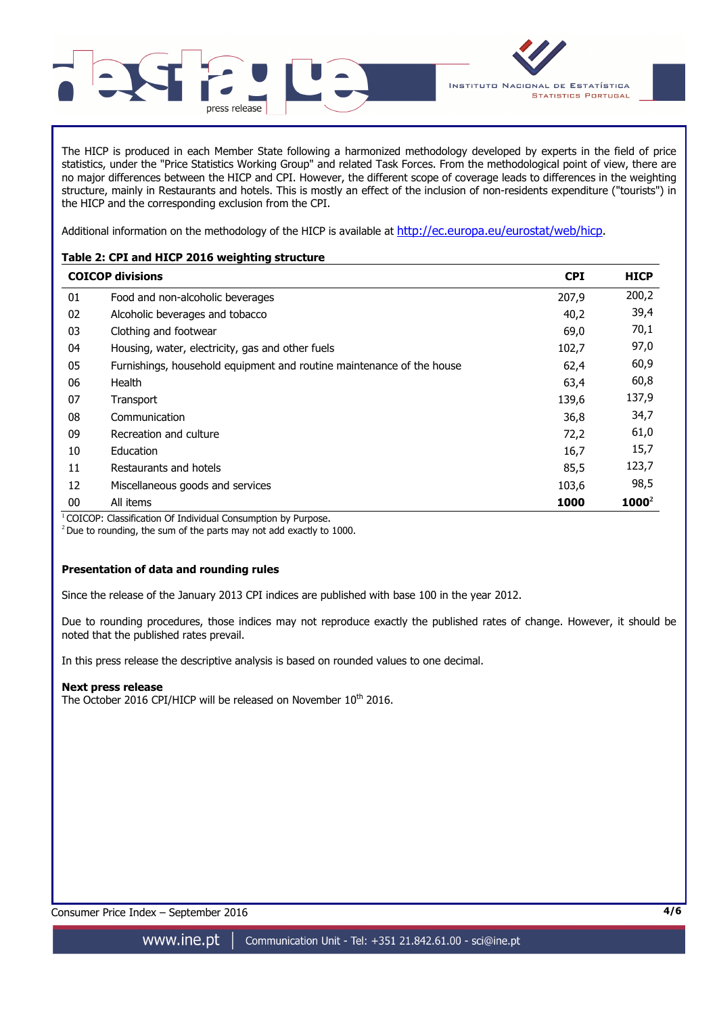



The HICP is produced in each Member State following a harmonized methodology developed by experts in the field of price statistics, under the "Price Statistics Working Group" and related Task Forces. From the methodological point of view, there are no major differences between the HICP and CPI. However, the different scope of coverage leads to differences in the weighting structure, mainly in Restaurants and hotels. This is mostly an effect of the inclusion of non-residents expenditure ("tourists") in the HICP and the corresponding exclusion from the CPI.

Additional information on the methodology of the HICP is available at http://ec.europa.eu/eurostat/web/hicp.

## **Table 2: CPI and HICP 2016 weighting structure**

|                     | <b>COICOP divisions</b>                                               | <b>CPI</b> | <b>HICP</b> |
|---------------------|-----------------------------------------------------------------------|------------|-------------|
| 01                  | Food and non-alcoholic beverages                                      | 207.9      | 200,2       |
| 02                  | Alcoholic beverages and tobacco                                       | 40,2       | 39,4        |
| 03                  | Clothing and footwear                                                 | 69,0       | 70,1        |
| 04                  | Housing, water, electricity, gas and other fuels                      | 102,7      | 97,0        |
| 05                  | Furnishings, household equipment and routine maintenance of the house | 62,4       | 60,9        |
| 06                  | Health                                                                | 63,4       | 60,8        |
| 07                  | Transport                                                             | 139,6      | 137,9       |
| 08                  | Communication                                                         | 36,8       | 34,7        |
| 09                  | Recreation and culture                                                | 72,2       | 61,0        |
| 10                  | Education                                                             | 16,7       | 15,7        |
| 11                  | Restaurants and hotels                                                | 85,5       | 123,7       |
| 12                  | Miscellaneous goods and services                                      | 103,6      | 98,5        |
| 00<br>$\frac{1}{2}$ | All items                                                             | 1000       | $1000^2$    |

<sup>1</sup> COICOP: Classification Of Individual Consumption by Purpose.

 $2$  Due to rounding, the sum of the parts may not add exactly to 1000.

## **Presentation of data and rounding rules**

Since the release of the January 2013 CPI indices are published with base 100 in the year 2012.

Due to rounding procedures, those indices may not reproduce exactly the published rates of change. However, it should be noted that the published rates prevail.

In this press release the descriptive analysis is based on rounded values to one decimal.

### **Next press release**

The October 2016 CPI/HICP will be released on November 10<sup>th</sup> 2016.

Consumer Price Index – September 2016 **4/6**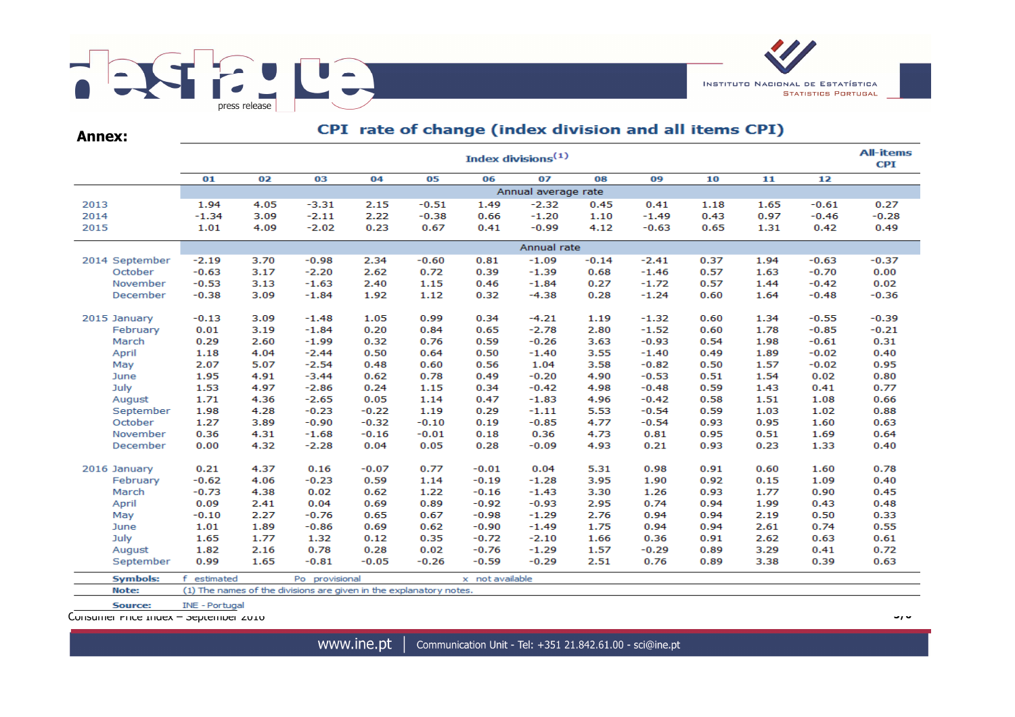

| <b>Annex:</b>   | Cr I Tate of change (muck division and an items of I) |                                |                                                                    |         |         |                 |                     |         |         |      |      |         |         |
|-----------------|-------------------------------------------------------|--------------------------------|--------------------------------------------------------------------|---------|---------|-----------------|---------------------|---------|---------|------|------|---------|---------|
|                 |                                                       | Index divisions <sup>(1)</sup> |                                                                    |         |         |                 |                     |         |         |      |      |         |         |
|                 | 01                                                    | 02                             | 03                                                                 | 04      | 05      | 06              | 07                  | 08      | 09      | 10   | 11   | 12      |         |
|                 |                                                       |                                |                                                                    |         |         |                 | Annual average rate |         |         |      |      |         |         |
| 2013            | 1.94                                                  | 4.05                           | $-3.31$                                                            | 2.15    | $-0.51$ | 1.49            | $-2.32$             | 0.45    | 0.41    | 1.18 | 1.65 | $-0.61$ | 0.27    |
| 2014            | $-1.34$                                               | 3.09                           | $-2.11$                                                            | 2.22    | $-0.38$ | 0.66            | $-1.20$             | 1.10    | $-1.49$ | 0.43 | 0.97 | $-0.46$ | $-0.28$ |
| 2015            | 1.01                                                  | 4.09                           | $-2.02$                                                            | 0.23    | 0.67    | 0.41            | $-0.99$             | 4.12    | $-0.63$ | 0.65 | 1.31 | 0.42    | 0.49    |
|                 |                                                       |                                |                                                                    |         |         |                 | Annual rate         |         |         |      |      |         |         |
| 2014 September  | $-2.19$                                               | 3.70                           | $-0.98$                                                            | 2.34    | $-0.60$ | 0.81            | $-1.09$             | $-0.14$ | $-2.41$ | 0.37 | 1.94 | $-0.63$ | $-0.37$ |
| October         | $-0.63$                                               | 3.17                           | $-2.20$                                                            | 2.62    | 0.72    | 0.39            | $-1.39$             | 0.68    | $-1.46$ | 0.57 | 1.63 | $-0.70$ | 0.00    |
| November        | $-0.53$                                               | 3.13                           | $-1.63$                                                            | 2.40    | 1.15    | 0.46            | $-1.84$             | 0.27    | $-1.72$ | 0.57 | 1.44 | $-0.42$ | 0.02    |
| December        | $-0.38$                                               | 3.09                           | $-1.84$                                                            | 1.92    | 1.12    | 0.32            | $-4.38$             | 0.28    | $-1.24$ | 0.60 | 1.64 | $-0.48$ | $-0.36$ |
| 2015 January    | $-0.13$                                               | 3.09                           | $-1.48$                                                            | 1.05    | 0.99    | 0.34            | $-4.21$             | 1.19    | $-1.32$ | 0.60 | 1.34 | $-0.55$ | $-0.39$ |
| February        | 0.01                                                  | 3.19                           | $-1.84$                                                            | 0.20    | 0.84    | 0.65            | $-2.78$             | 2.80    | $-1.52$ | 0.60 | 1.78 | $-0.85$ | $-0.21$ |
| March           | 0.29                                                  | 2.60                           | $-1.99$                                                            | 0.32    | 0.76    | 0.59            | $-0.26$             | 3.63    | $-0.93$ | 0.54 | 1.98 | $-0.61$ | 0.31    |
| April           | 1.18                                                  | 4.04                           | $-2.44$                                                            | 0.50    | 0.64    | 0.50            | $-1.40$             | 3.55    | $-1.40$ | 0.49 | 1.89 | $-0.02$ | 0.40    |
| May             | 2.07                                                  | 5.07                           | $-2.54$                                                            | 0.48    | 0.60    | 0.56            | 1.04                | 3.58    | $-0.82$ | 0.50 | 1.57 | $-0.02$ | 0.95    |
| June            | 1.95                                                  | 4.91                           | $-3.44$                                                            | 0.62    | 0.78    | 0.49            | $-0.20$             | 4.90    | $-0.53$ | 0.51 | 1.54 | 0.02    | 0.80    |
| July            | 1.53                                                  | 4.97                           | $-2.86$                                                            | 0.24    | 1.15    | 0.34            | $-0.42$             | 4.98    | $-0.48$ | 0.59 | 1.43 | 0.41    | 0.77    |
| August          | 1.71                                                  | 4.36                           | $-2.65$                                                            | 0.05    | 1.14    | 0.47            | $-1.83$             | 4.96    | $-0.42$ | 0.58 | 1.51 | 1.08    | 0.66    |
| September       | 1.98                                                  | 4.28                           | $-0.23$                                                            | $-0.22$ | 1.19    | 0.29            | $-1.11$             | 5.53    | $-0.54$ | 0.59 | 1.03 | 1.02    | 0.88    |
| October         | 1.27                                                  | 3.89                           | $-0.90$                                                            | $-0.32$ | $-0.10$ | 0.19            | $-0.85$             | 4.77    | $-0.54$ | 0.93 | 0.95 | 1.60    | 0.63    |
| November        | 0.36                                                  | 4.31                           | $-1.68$                                                            | $-0.16$ | $-0.01$ | 0.18            | 0.36                | 4.73    | 0.81    | 0.95 | 0.51 | 1.69    | 0.64    |
| December        | 0.00                                                  | 4.32                           | $-2.28$                                                            | 0.04    | 0.05    | 0.28            | $-0.09$             | 4.93    | 0.21    | 0.93 | 0.23 | 1.33    | 0.40    |
| 2016 January    | 0.21                                                  | 4.37                           | 0.16                                                               | $-0.07$ | 0.77    | $-0.01$         | 0.04                | 5.31    | 0.98    | 0.91 | 0.60 | 1.60    | 0.78    |
| February        | $-0.62$                                               | 4.06                           | $-0.23$                                                            | 0.59    | 1.14    | $-0.19$         | $-1.28$             | 3.95    | 1.90    | 0.92 | 0.15 | 1.09    | 0.40    |
| March           | $-0.73$                                               | 4.38                           | 0.02                                                               | 0.62    | 1.22    | $-0.16$         | $-1.43$             | 3.30    | 1.26    | 0.93 | 1.77 | 0.90    | 0.45    |
| April           | 0.09                                                  | 2.41                           | 0.04                                                               | 0.69    | 0.89    | $-0.92$         | $-0.93$             | 2.95    | 0.74    | 0.94 | 1.99 | 0.43    | 0.48    |
| May             | $-0.10$                                               | 2.27                           | $-0.76$                                                            | 0.65    | 0.67    | $-0.98$         | $-1.29$             | 2.76    | 0.94    | 0.94 | 2.19 | 0.50    | 0.33    |
| June            | 1.01                                                  | 1.89                           | $-0.86$                                                            | 0.69    | 0.62    | $-0.90$         | $-1.49$             | 1.75    | 0.94    | 0.94 | 2.61 | 0.74    | 0.55    |
| July            | 1.65                                                  | 1.77                           | 1.32                                                               | 0.12    | 0.35    | $-0.72$         | $-2.10$             | 1.66    | 0.36    | 0.91 | 2.62 | 0.63    | 0.61    |
| August          | 1.82                                                  | 2.16                           | 0.78                                                               | 0.28    | 0.02    | $-0.76$         | $-1.29$             | 1.57    | $-0.29$ | 0.89 | 3.29 | 0.41    | 0.72    |
| September       | 0.99                                                  | 1.65                           | $-0.81$                                                            | $-0.05$ | $-0.26$ | $-0.59$         | $-0.29$             | 2.51    | 0.76    | 0.89 | 3.38 | 0.39    | 0.63    |
| <b>Symbols:</b> | £<br>estimated                                        |                                | Po provisional                                                     |         |         | x not available |                     |         |         |      |      |         |         |
| Note:           |                                                       |                                | (1) The names of the divisions are given in the explanatory notes. |         |         |                 |                     |         |         |      |      |         |         |

CDT, rate of change (index division and all items CDT)

Consumer Price Index – September 2016 **5/6**

INE - Portugal

Source: